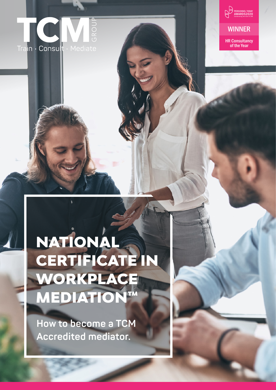



# NATIONAL CERTIFICATE IN WORKPLACE MEDIATION™

**How to become a TCM Accredited mediator.**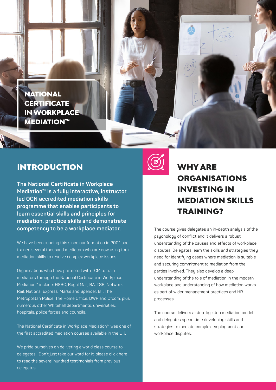NATIONAL **CERTIFICATE** IN WORKPLACE **MEDIATION™** 

#### INTRODUCTION

**The National Certificate in Workplace Mediation™ is a fully interactive, instructor led OCN accredited mediation skills programme that enables participants to learn essential skills and principles for mediation, practice skills and demonstrate competency to be a workplace mediator.** 

We have been running this since our formation in 2001 and trained several thousand mediators who are now using their mediation skills to resolve complex workplace issues.

Organisations who have partnered with TCM to train mediators through the National Certificate in Workplace Mediation™ include: HSBC, Royal Mail, BA, TSB, Network Rail, National Express, Marks and Spencer, BT, The Metropolitan Police, The Home Office, DWP and Ofcom, plus numerous other Whitehall departments, universities, hospitals, police forces and councils.

The National Certificate in Workplace Mediation™ was one of the first accredited mediation courses available in the UK.

We pride ourselves on delivering a world class course to delegates. Don't just take our word for it, please [click here](https://thetcmgroup.com/our-customer-testimonials/) to read the several hundred testimonials from previous delegates.



## WHY ARE ORGANISATIONS INVESTING IN MEDIATION SKILLS TRAINING?

 $(1203)$ 

The course gives delegates an in-depth analysis of the psychology of conflict and it delivers a robust understanding of the causes and effects of workplace disputes. Delegates learn the skills and strategies they need for identifying cases where mediation is suitable and securing commitment to mediation from the parties involved. They also develop a deep understanding of the role of mediation in the modern workplace and understanding of how mediation works as part of wider management practices and HR processes.

The course delivers a step-by-step mediation model and delegates spend time developing skills and strategies to mediate complex employment and workplace disputes.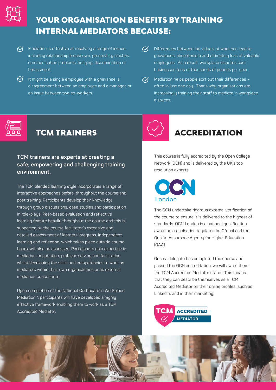

## YOUR ORGANISATION BENEFITS BY TRAINING INTERNAL MEDIATORS BECAUSE:

- $\overline{\mathcal{C}}$  Mediation is effective at resolving a range of issues including relationship breakdown, personality clashes, communication problems, bullying, discrimination or harassment.
- $\delta$  It might be a single employee with a grievance, a disagreement between an employee and a manager, or an issue between two co-workers.
- $\infty$ Differences between individuals at work can lead to grievances, absenteeism and ultimately loss of valuable employees. As a result, workplace disputes cost businesses tens of thousands of pounds per year.
- $\overline{\mathcal{C}}$  Mediation helps people sort out their differences often in just one day. That's why organisations are increasingly training their staff to mediate in workplace disputes.



# **TCM TRAINERS**

#### **TCM trainers are experts at creating a safe, empowering and challenging training environment.**

The TCM blended learning style incorporates a range of interactive approaches before, throughout the course and post training. Participants develop their knowledge through group discussions, case studies and participation in role-plays. Peer-based evaluation and reflective learning feature heavily throughout the course and this is supported by the course facilitator's extensive and detailed assessment of learners' progress. Independent learning and reflection, which takes place outside course hours, will also be assessed. Participants gain expertise in mediation, negotiation, problem-solving and facilitation whilst developing the skills and competencies to work as mediators within their own organisations or as external mediation consultants.

Upon completion of the National Certificate in Workplace Mediation™, participants will have developed a highly effective framework enabling them to work as a TCM Accredited Mediator.



### **ACCREDITATION**

This course is fully accredited by the Open College Network (OCN) and is delivered by the UK's top resolution experts.



The OCN undertake rigorous external verification of the course to ensure it is delivered to the highest of standards. OCN London is a national qualification awarding organisation regulated by Ofqual and the Quality Assurance Agency for Higher Education (QAA).

Once a delegate has completed the course and passed the OCN accreditation, we will award them the TCM Accredited Mediator status. This means that they can describe themselves as a TCM Accredited Mediator on their online profiles, such as LinkedIn, and in their marketing.